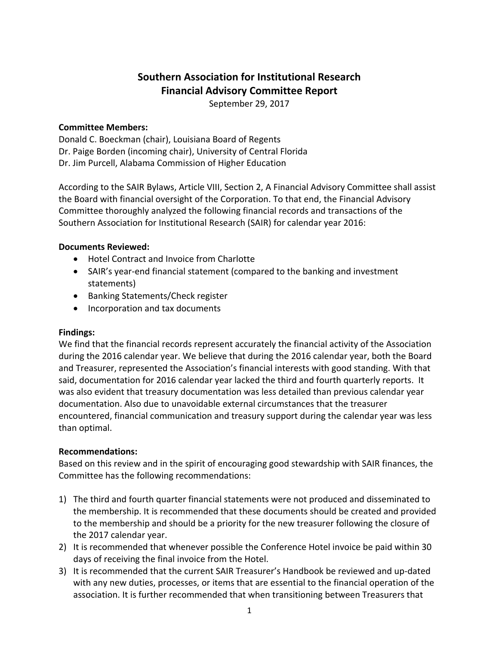# **Southern Association for Institutional Research Financial Advisory Committee Report**

September 29, 2017

## **Committee Members:**

Donald C. Boeckman (chair), Louisiana Board of Regents Dr. Paige Borden (incoming chair), University of Central Florida Dr. Jim Purcell, Alabama Commission of Higher Education

According to the SAIR Bylaws, Article VIII, Section 2, A Financial Advisory Committee shall assist the Board with financial oversight of the Corporation. To that end, the Financial Advisory Committee thoroughly analyzed the following financial records and transactions of the Southern Association for Institutional Research (SAIR) for calendar year 2016:

## **Documents Reviewed:**

- Hotel Contract and Invoice from Charlotte
- SAIR's year-end financial statement (compared to the banking and investment statements)
- Banking Statements/Check register
- Incorporation and tax documents

### **Findings:**

We find that the financial records represent accurately the financial activity of the Association during the 2016 calendar year. We believe that during the 2016 calendar year, both the Board and Treasurer, represented the Association's financial interests with good standing. With that said, documentation for 2016 calendar year lacked the third and fourth quarterly reports. It was also evident that treasury documentation was less detailed than previous calendar year documentation. Also due to unavoidable external circumstances that the treasurer encountered, financial communication and treasury support during the calendar year was less than optimal.

### **Recommendations:**

Based on this review and in the spirit of encouraging good stewardship with SAIR finances, the Committee has the following recommendations:

- 1) The third and fourth quarter financial statements were not produced and disseminated to the membership. It is recommended that these documents should be created and provided to the membership and should be a priority for the new treasurer following the closure of the 2017 calendar year.
- 2) It is recommended that whenever possible the Conference Hotel invoice be paid within 30 days of receiving the final invoice from the Hotel.
- 3) It is recommended that the current SAIR Treasurer's Handbook be reviewed and up‐dated with any new duties, processes, or items that are essential to the financial operation of the association. It is further recommended that when transitioning between Treasurers that